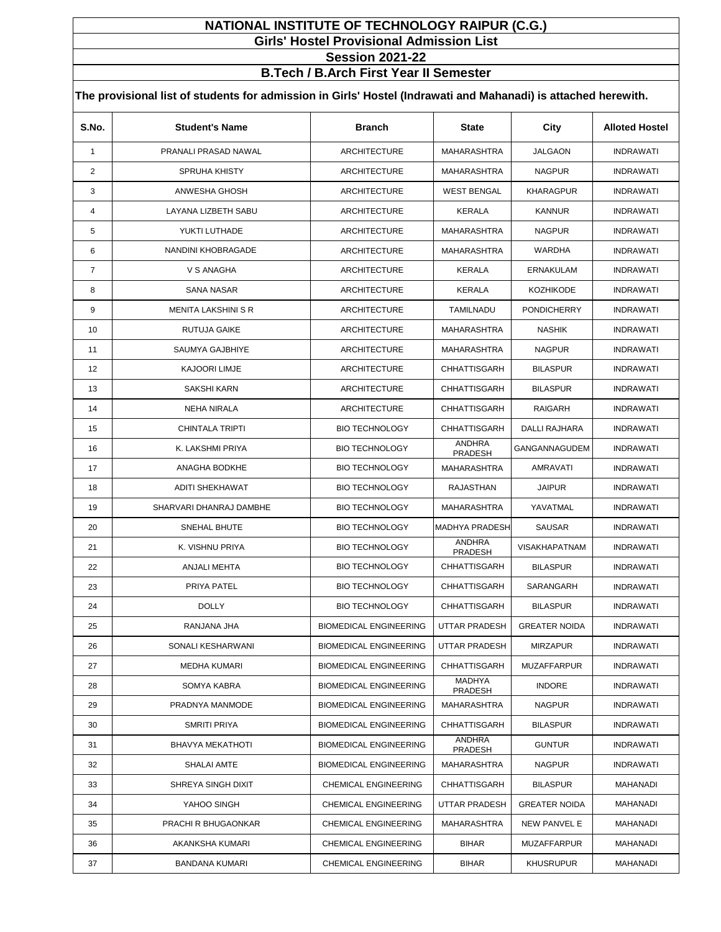## **NATIONAL INSTITUTE OF TECHNOLOGY RAIPUR (C.G.) Girls' Hostel Provisional Admission List**

**Session 2021-22**

**B.Tech / B.Arch First Year II Semester**

| S.No.          | <b>Student's Name</b>      | <b>Branch</b>                 | <b>State</b>             | City                 | <b>Alloted Hostel</b> |
|----------------|----------------------------|-------------------------------|--------------------------|----------------------|-----------------------|
| 1              | PRANALI PRASAD NAWAL       | <b>ARCHITECTURE</b>           | <b>MAHARASHTRA</b>       | JALGAON              | <b>INDRAWATI</b>      |
| $\overline{c}$ | <b>SPRUHA KHISTY</b>       | <b>ARCHITECTURE</b>           | <b>MAHARASHTRA</b>       | <b>NAGPUR</b>        | <b>INDRAWATI</b>      |
| 3              | ANWESHA GHOSH              | <b>ARCHITECTURE</b>           | <b>WEST BENGAL</b>       | <b>KHARAGPUR</b>     | <b>INDRAWATI</b>      |
| 4              | LAYANA LIZBETH SABU        | <b>ARCHITECTURE</b>           | KERALA                   | <b>KANNUR</b>        | <b>INDRAWATI</b>      |
| 5              | YUKTI LUTHADE              | <b>ARCHITECTURE</b>           | MAHARASHTRA              | <b>NAGPUR</b>        | <b>INDRAWATI</b>      |
| 6              | NANDINI KHOBRAGADE         | <b>ARCHITECTURE</b>           | MAHARASHTRA              | WARDHA               | <b>INDRAWATI</b>      |
| 7              | V S ANAGHA                 | <b>ARCHITECTURE</b>           | <b>KERALA</b>            | <b>ERNAKULAM</b>     | <b>INDRAWATI</b>      |
| 8              | <b>SANA NASAR</b>          | <b>ARCHITECTURE</b>           | <b>KERALA</b>            | <b>KOZHIKODE</b>     | <b>INDRAWATI</b>      |
| 9              | <b>MENITA LAKSHINI S R</b> | <b>ARCHITECTURE</b>           | TAMILNADU                | <b>PONDICHERRY</b>   | <b>INDRAWATI</b>      |
| 10             | RUTUJA GAIKE               | <b>ARCHITECTURE</b>           | MAHARASHTRA              | <b>NASHIK</b>        | <b>INDRAWATI</b>      |
| 11             | <b>SAUMYA GAJBHIYE</b>     | <b>ARCHITECTURE</b>           | <b>MAHARASHTRA</b>       | <b>NAGPUR</b>        | <b>INDRAWATI</b>      |
| 12             | <b>KAJOORI LIMJE</b>       | <b>ARCHITECTURE</b>           | CHHATTISGARH             | <b>BILASPUR</b>      | <b>INDRAWATI</b>      |
| 13             | <b>SAKSHI KARN</b>         | <b>ARCHITECTURE</b>           | <b>CHHATTISGARH</b>      | <b>BILASPUR</b>      | <b>INDRAWATI</b>      |
| 14             | NEHA NIRALA                | <b>ARCHITECTURE</b>           | <b>CHHATTISGARH</b>      | <b>RAIGARH</b>       | <b>INDRAWATI</b>      |
| 15             | CHINTALA TRIPTI            | <b>BIO TECHNOLOGY</b>         | <b>CHHATTISGARH</b>      | DALLI RAJHARA        | <b>INDRAWATI</b>      |
| 16             | K. LAKSHMI PRIYA           | <b>BIO TECHNOLOGY</b>         | <b>ANDHRA</b><br>PRADESH | GANGANNAGUDEM        | <b>INDRAWATI</b>      |
| 17             | ANAGHA BODKHE              | <b>BIO TECHNOLOGY</b>         | <b>MAHARASHTRA</b>       | AMRAVATI             | <b>INDRAWATI</b>      |
| 18             | <b>ADITI SHEKHAWAT</b>     | <b>BIO TECHNOLOGY</b>         | <b>RAJASTHAN</b>         | <b>JAIPUR</b>        | <b>INDRAWATI</b>      |
| 19             | SHARVARI DHANRAJ DAMBHE    | <b>BIO TECHNOLOGY</b>         | MAHARASHTRA              | YAVATMAL             | <b>INDRAWATI</b>      |
| 20             | SNEHAL BHUTE               | <b>BIO TECHNOLOGY</b>         | <b>MADHYA PRADESH</b>    | SAUSAR               | <b>INDRAWATI</b>      |
| 21             | K. VISHNU PRIYA            | <b>BIO TECHNOLOGY</b>         | <b>ANDHRA</b><br>PRADESH | <b>VISAKHAPATNAM</b> | <b>INDRAWATI</b>      |
| 22             | ANJALI MEHTA               | <b>BIO TECHNOLOGY</b>         | CHHATTISGARH             | <b>BILASPUR</b>      | <b>INDRAWATI</b>      |
| 23             | PRIYA PATEL                | <b>BIO TECHNOLOGY</b>         | <b>CHHATTISGARH</b>      | SARANGARH            | <b>INDRAWATI</b>      |
| 24             | <b>DOLLY</b>               | <b>BIO TECHNOLOGY</b>         | CHHATTISGARH             | <b>BILASPUR</b>      | <b>INDRAWATI</b>      |
| 25             | RANJANA JHA                | <b>BIOMEDICAL ENGINEERING</b> | UTTAR PRADESH            | <b>GREATER NOIDA</b> | <b>INDRAWATI</b>      |
| 26             | SONALI KESHARWANI          | <b>BIOMEDICAL ENGINEERING</b> | <b>UTTAR PRADESH</b>     | <b>MIRZAPUR</b>      | <b>INDRAWATI</b>      |
| 27             | <b>MEDHA KUMARI</b>        | <b>BIOMEDICAL ENGINEERING</b> | CHHATTISGARH             | <b>MUZAFFARPUR</b>   | INDRAWATI             |
| 28             | SOMYA KABRA                | <b>BIOMEDICAL ENGINEERING</b> | MADHYA<br>PRADESH        | <b>INDORE</b>        | <b>INDRAWATI</b>      |
| 29             | PRADNYA MANMODE            | <b>BIOMEDICAL ENGINEERING</b> | MAHARASHTRA              | <b>NAGPUR</b>        | <b>INDRAWATI</b>      |
| 30             | SMRITI PRIYA               | <b>BIOMEDICAL ENGINEERING</b> | CHHATTISGARH             | <b>BILASPUR</b>      | <b>INDRAWATI</b>      |
| 31             | BHAVYA MEKATHOTI           | <b>BIOMEDICAL ENGINEERING</b> | ANDHRA<br>PRADESH        | <b>GUNTUR</b>        | <b>INDRAWATI</b>      |
| 32             | SHALAI AMTE                | <b>BIOMEDICAL ENGINEERING</b> | MAHARASHTRA              | <b>NAGPUR</b>        | <b>INDRAWATI</b>      |
| 33             | SHREYA SINGH DIXIT         | <b>CHEMICAL ENGINEERING</b>   | CHHATTISGARH             | <b>BILASPUR</b>      | MAHANADI              |
| 34             | YAHOO SINGH                | <b>CHEMICAL ENGINEERING</b>   | UTTAR PRADESH            | <b>GREATER NOIDA</b> | MAHANADI              |
| 35             | PRACHI R BHUGAONKAR        | CHEMICAL ENGINEERING          | MAHARASHTRA              | NEW PANVEL E         | MAHANADI              |
| 36             | AKANKSHA KUMARI            | <b>CHEMICAL ENGINEERING</b>   | <b>BIHAR</b>             | <b>MUZAFFARPUR</b>   | MAHANADI              |
| 37             | BANDANA KUMARI             | <b>CHEMICAL ENGINEERING</b>   | <b>BIHAR</b>             | <b>KHUSRUPUR</b>     | MAHANADI              |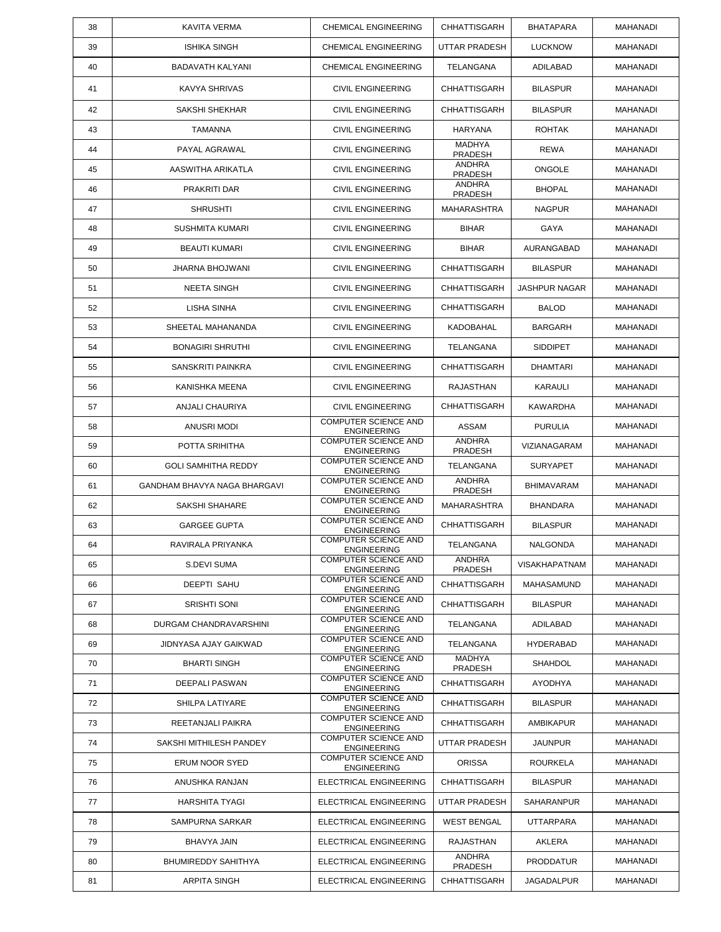| 38 | <b>KAVITA VERMA</b>          | <b>CHEMICAL ENGINEERING</b>                       | CHHATTISGARH             | <b>BHATAPARA</b>     | <b>MAHANADI</b> |
|----|------------------------------|---------------------------------------------------|--------------------------|----------------------|-----------------|
| 39 | <b>ISHIKA SINGH</b>          | <b>CHEMICAL ENGINEERING</b>                       | UTTAR PRADESH            | <b>LUCKNOW</b>       | MAHANADI        |
| 40 | BADAVATH KALYANI             | <b>CHEMICAL ENGINEERING</b>                       | <b>TELANGANA</b>         | ADILABAD             | <b>MAHANADI</b> |
| 41 | KAVYA SHRIVAS                | <b>CIVIL ENGINEERING</b>                          | <b>CHHATTISGARH</b>      | <b>BILASPUR</b>      | MAHANADI        |
| 42 | SAKSHI SHEKHAR               | <b>CIVIL ENGINEERING</b>                          | <b>CHHATTISGARH</b>      | <b>BILASPUR</b>      | MAHANADI        |
| 43 | <b>TAMANNA</b>               | <b>CIVIL ENGINEERING</b>                          | <b>HARYANA</b>           | <b>ROHTAK</b>        | <b>MAHANADI</b> |
| 44 | PAYAL AGRAWAL                | <b>CIVIL ENGINEERING</b>                          | <b>MADHYA</b><br>PRADESH | <b>REWA</b>          | MAHANADI        |
| 45 | AASWITHA ARIKATLA            | <b>CIVIL ENGINEERING</b>                          | ANDHRA<br><b>PRADESH</b> | <b>ONGOLE</b>        | MAHANADI        |
| 46 | PRAKRITI DAR                 | <b>CIVIL ENGINEERING</b>                          | ANDHRA<br>PRADESH        | <b>BHOPAL</b>        | MAHANADI        |
| 47 | <b>SHRUSHTI</b>              | <b>CIVIL ENGINEERING</b>                          | <b>MAHARASHTRA</b>       | <b>NAGPUR</b>        | MAHANADI        |
| 48 | SUSHMITA KUMARI              | <b>CIVIL ENGINEERING</b>                          | <b>BIHAR</b>             | <b>GAYA</b>          | MAHANADI        |
| 49 | <b>BEAUTI KUMARI</b>         | <b>CIVIL ENGINEERING</b>                          | <b>BIHAR</b>             | AURANGABAD           | MAHANADI        |
| 50 | JHARNA BHOJWANI              | <b>CIVIL ENGINEERING</b>                          | CHHATTISGARH             | <b>BILASPUR</b>      | MAHANADI        |
| 51 | <b>NEETA SINGH</b>           | <b>CIVIL ENGINEERING</b>                          | <b>CHHATTISGARH</b>      | <b>JASHPUR NAGAR</b> | MAHANADI        |
| 52 | LISHA SINHA                  | <b>CIVIL ENGINEERING</b>                          | <b>CHHATTISGARH</b>      | <b>BALOD</b>         | MAHANADI        |
| 53 | SHEETAL MAHANANDA            | <b>CIVIL ENGINEERING</b>                          | KADOBAHAL                | <b>BARGARH</b>       | MAHANADI        |
| 54 | <b>BONAGIRI SHRUTHI</b>      | <b>CIVIL ENGINEERING</b>                          | TELANGANA                | <b>SIDDIPET</b>      | MAHANADI        |
| 55 | SANSKRITI PAINKRA            | <b>CIVIL ENGINEERING</b>                          | CHHATTISGARH             | <b>DHAMTARI</b>      | MAHANADI        |
| 56 | KANISHKA MEENA               | <b>CIVIL ENGINEERING</b>                          | RAJASTHAN                | KARAULI              | MAHANADI        |
| 57 | ANJALI CHAURIYA              | <b>CIVIL ENGINEERING</b>                          | <b>CHHATTISGARH</b>      | <b>KAWARDHA</b>      | MAHANADI        |
| 58 | ANUSRI MODI                  | <b>COMPUTER SCIENCE AND</b><br><b>ENGINEERING</b> | ASSAM                    | <b>PURULIA</b>       | MAHANADI        |
| 59 | POTTA SRIHITHA               | <b>COMPUTER SCIENCE AND</b><br><b>ENGINEERING</b> | ANDHRA<br><b>PRADESH</b> | VIZIANAGARAM         | MAHANADI        |
| 60 | <b>GOLI SAMHITHA REDDY</b>   | COMPUTER SCIENCE AND<br><b>ENGINEERING</b>        | TELANGANA                | <b>SURYAPET</b>      | MAHANADI        |
| 61 | GANDHAM BHAVYA NAGA BHARGAVI | <b>COMPUTER SCIENCE AND</b><br><b>ENGINEERING</b> | <b>ANDHRA</b><br>PRADESH | <b>BHIMAVARAM</b>    | MAHANADI        |
| 62 | SAKSHI SHAHARE               | <b>COMPUTER SCIENCE AND</b><br><b>ENGINEERING</b> | <b>MAHARASHTRA</b>       | <b>BHANDARA</b>      | MAHANADI        |
| 63 | <b>GARGEE GUPTA</b>          | COMPUTER SCIENCE AND<br><b>ENGINEERING</b>        | <b>CHHATTISGARH</b>      | <b>BILASPUR</b>      | <b>MAHANADI</b> |
| 64 | RAVIRALA PRIYANKA            | <b>COMPUTER SCIENCE AND</b><br><b>ENGINEERING</b> | TELANGANA                | NALGONDA             | MAHANADI        |
| 65 | S.DEVI SUMA                  | COMPUTER SCIENCE AND<br><b>ENGINEERING</b>        | ANDHRA<br>PRADESH        | <b>VISAKHAPATNAM</b> | MAHANADI        |
| 66 | <b>DEEPTI SAHU</b>           | <b>COMPUTER SCIENCE AND</b><br><b>ENGINEERING</b> | <b>CHHATTISGARH</b>      | MAHASAMUND           | MAHANADI        |
| 67 | <b>SRISHTI SONI</b>          | <b>COMPUTER SCIENCE AND</b><br><b>ENGINEERING</b> | <b>CHHATTISGARH</b>      | <b>BILASPUR</b>      | MAHANADI        |
| 68 | DURGAM CHANDRAVARSHINI       | COMPUTER SCIENCE AND<br><b>ENGINEERING</b>        | TELANGANA                | <b>ADILABAD</b>      | MAHANADI        |
| 69 | JIDNYASA AJAY GAIKWAD        | <b>COMPUTER SCIENCE AND</b><br><b>ENGINEERING</b> | TELANGANA                | HYDERABAD            | MAHANADI        |
| 70 | <b>BHARTI SINGH</b>          | <b>COMPUTER SCIENCE AND</b><br><b>ENGINEERING</b> | MADHYA<br>PRADESH        | <b>SHAHDOL</b>       | MAHANADI        |
| 71 | DEEPALI PASWAN               | <b>COMPUTER SCIENCE AND</b><br><b>ENGINEERING</b> | CHHATTISGARH             | AYODHYA              | MAHANADI        |
| 72 | SHILPA LATIYARE              | <b>COMPUTER SCIENCE AND</b><br><b>ENGINEERING</b> | CHHATTISGARH             | <b>BILASPUR</b>      | MAHANADI        |
| 73 | REETANJALI PAIKRA            | COMPUTER SCIENCE AND<br><b>ENGINEERING</b>        | <b>CHHATTISGARH</b>      | <b>AMBIKAPUR</b>     | MAHANADI        |
| 74 | SAKSHI MITHILESH PANDEY      | <b>COMPUTER SCIENCE AND</b><br><b>ENGINEERING</b> | UTTAR PRADESH            | <b>JAUNPUR</b>       | MAHANADI        |
| 75 | ERUM NOOR SYED               | <b>COMPUTER SCIENCE AND</b><br><b>ENGINEERING</b> | <b>ORISSA</b>            | <b>ROURKELA</b>      | MAHANADI        |
| 76 | ANUSHKA RANJAN               | ELECTRICAL ENGINEERING                            | CHHATTISGARH             | <b>BILASPUR</b>      | MAHANADI        |
| 77 | HARSHITA TYAGI               | ELECTRICAL ENGINEERING                            | UTTAR PRADESH            | SAHARANPUR           | MAHANADI        |
| 78 | SAMPURNA SARKAR              | ELECTRICAL ENGINEERING                            | <b>WEST BENGAL</b>       | <b>UTTARPARA</b>     | MAHANADI        |
| 79 | BHAVYA JAIN                  | ELECTRICAL ENGINEERING                            | RAJASTHAN                | AKLERA               | MAHANADI        |
| 80 | <b>BHUMIREDDY SAHITHYA</b>   | ELECTRICAL ENGINEERING                            | ANDHRA<br>PRADESH        | <b>PRODDATUR</b>     | MAHANADI        |
| 81 | ARPITA SINGH                 | ELECTRICAL ENGINEERING                            | CHHATTISGARH             | JAGADALPUR           | MAHANADI        |
|    |                              |                                                   |                          |                      |                 |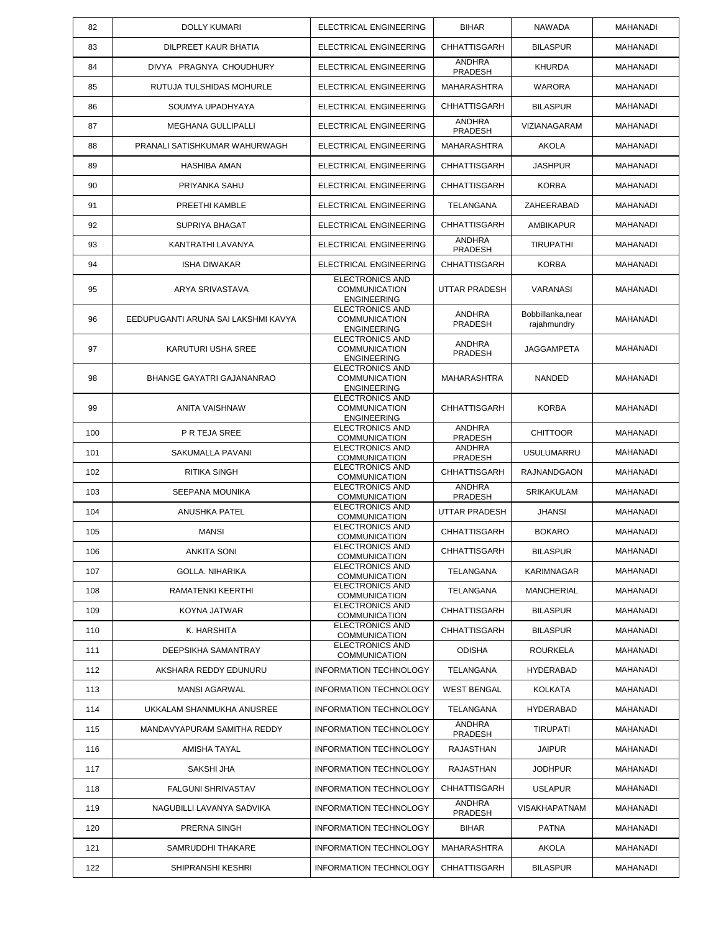| 82  | <b>DOLLY KUMARI</b>                 | ELECTRICAL ENGINEERING                                               | <b>BIHAR</b>             | <b>NAWADA</b>                    | <b>MAHANADI</b> |
|-----|-------------------------------------|----------------------------------------------------------------------|--------------------------|----------------------------------|-----------------|
| 83  | DILPREET KAUR BHATIA                | ELECTRICAL ENGINEERING                                               | <b>CHHATTISGARH</b>      | <b>BILASPUR</b>                  | <b>MAHANADI</b> |
| 84  | DIVYA PRAGNYA CHOUDHURY             | ELECTRICAL ENGINEERING                                               | <b>ANDHRA</b><br>PRADESH | <b>KHURDA</b>                    | <b>MAHANADI</b> |
| 85  | RUTUJA TULSHIDAS MOHURLE            | <b>ELECTRICAL ENGINEERING</b>                                        | <b>MAHARASHTRA</b>       | <b>WARORA</b>                    | <b>MAHANADI</b> |
| 86  | SOUMYA UPADHYAYA                    | <b>ELECTRICAL ENGINEERING</b>                                        | <b>CHHATTISGARH</b>      | <b>BILASPUR</b>                  | <b>MAHANADI</b> |
| 87  | <b>MEGHANA GULLIPALLI</b>           | ELECTRICAL ENGINEERING                                               | <b>ANDHRA</b><br>PRADESH | VIZIANAGARAM                     | <b>MAHANADI</b> |
| 88  | PRANALI SATISHKUMAR WAHURWAGH       | ELECTRICAL ENGINEERING                                               | <b>MAHARASHTRA</b>       | <b>AKOLA</b>                     | <b>MAHANADI</b> |
| 89  | <b>HASHIBA AMAN</b>                 | <b>ELECTRICAL ENGINEERING</b>                                        | <b>CHHATTISGARH</b>      | <b>JASHPUR</b>                   | <b>MAHANADI</b> |
| 90  | PRIYANKA SAHU                       | <b>ELECTRICAL ENGINEERING</b>                                        | <b>CHHATTISGARH</b>      | <b>KORBA</b>                     | <b>MAHANADI</b> |
| 91  | PREETHI KAMBLE                      | ELECTRICAL ENGINEERING                                               | TELANGANA                | ZAHEERABAD                       | MAHANADI        |
| 92  | <b>SUPRIYA BHAGAT</b>               | ELECTRICAL ENGINEERING                                               | <b>CHHATTISGARH</b>      | <b>AMBIKAPUR</b>                 | <b>MAHANADI</b> |
| 93  | KANTRATHI LAVANYA                   | ELECTRICAL ENGINEERING                                               | <b>ANDHRA</b><br>PRADESH | <b>TIRUPATHI</b>                 | <b>MAHANADI</b> |
| 94  | <b>ISHA DIWAKAR</b>                 | ELECTRICAL ENGINEERING                                               | <b>CHHATTISGARH</b>      | <b>KORBA</b>                     | <b>MAHANADI</b> |
| 95  | ARYA SRIVASTAVA                     | <b>ELECTRONICS AND</b><br><b>COMMUNICATION</b><br><b>ENGINEERING</b> | UTTAR PRADESH            | <b>VARANASI</b>                  | MAHANADI        |
| 96  | EEDUPUGANTI ARUNA SAI LAKSHMI KAVYA | <b>ELECTRONICS AND</b><br><b>COMMUNICATION</b><br><b>ENGINEERING</b> | <b>ANDHRA</b><br>PRADESH | Bobbillanka, near<br>rajahmundry | <b>MAHANADI</b> |
| 97  | KARUTURI USHA SREE                  | <b>ELECTRONICS AND</b><br><b>COMMUNICATION</b><br><b>ENGINEERING</b> | <b>ANDHRA</b><br>PRADESH | <b>JAGGAMPETA</b>                | <b>MAHANADI</b> |
| 98  | BHANGE GAYATRI GAJANANRAO           | <b>ELECTRONICS AND</b><br><b>COMMUNICATION</b><br><b>ENGINEERING</b> | <b>MAHARASHTRA</b>       | NANDED                           | <b>MAHANADI</b> |
| 99  | ANITA VAISHNAW                      | <b>ELECTRONICS AND</b><br><b>COMMUNICATION</b><br><b>ENGINEERING</b> | <b>CHHATTISGARH</b>      | <b>KORBA</b>                     | <b>MAHANADI</b> |
| 100 | P R TEJA SREE                       | <b>ELECTRONICS AND</b><br><b>COMMUNICATION</b>                       | ANDHRA<br>PRADESH        | <b>CHITTOOR</b>                  | <b>MAHANADI</b> |
| 101 | SAKUMALLA PAVANI                    | <b>ELECTRONICS AND</b><br><b>COMMUNICATION</b>                       | <b>ANDHRA</b><br>PRADESH | <b>USULUMARRU</b>                | MAHANADI        |
| 102 | RITIKA SINGH                        | <b>ELECTRONICS AND</b><br><b>COMMUNICATION</b>                       | <b>CHHATTISGARH</b>      | RAJNANDGAON                      | <b>MAHANADI</b> |
| 103 | SEEPANA MOUNIKA                     | <b>ELECTRONICS AND</b><br><b>COMMUNICATION</b>                       | <b>ANDHRA</b><br>PRADESH | <b>SRIKAKULAM</b>                | <b>MAHANADI</b> |
| 104 | ANUSHKA PATEL                       | <b>ELECTRONICS AND</b><br><b>COMMUNICATION</b>                       | <b>UTTAR PRADESH</b>     | JHANSI                           | <b>MAHANADI</b> |
| 105 | <b>MANSI</b>                        | <b>ELECTRONICS AND</b><br><b>COMMUNICATION</b>                       | <b>CHHATTISGARH</b>      | <b>BOKARO</b>                    | <b>MAHANADI</b> |
| 106 | <b>ANKITA SONI</b>                  | ELECTRONICS AND<br><b>COMMUNICATION</b>                              | CHHATTISGARH             | <b>BILASPUR</b>                  | MAHANADI        |
| 107 | <b>GOLLA, NIHARIKA</b>              | <b>ELECTRONICS AND</b><br><b>COMMUNICATION</b>                       | TELANGANA                | KARIMNAGAR                       | MAHANADI        |
| 108 | RAMATENKI KEERTHI                   | ELECTRONICS AND<br><b>COMMUNICATION</b>                              | TELANGANA                | <b>MANCHERIAL</b>                | <b>MAHANADI</b> |
| 109 | KOYNA JATWAR                        | <b>ELECTRONICS AND</b><br><b>COMMUNICATION</b>                       | <b>CHHATTISGARH</b>      | <b>BILASPUR</b>                  | MAHANADI        |
| 110 | K. HARSHITA                         | ELECTRONICS AND<br><b>COMMUNICATION</b>                              | <b>CHHATTISGARH</b>      | <b>BILASPUR</b>                  | MAHANADI        |
| 111 | DEEPSIKHA SAMANTRAY                 | ELECTRONICS AND<br><b>COMMUNICATION</b>                              | <b>ODISHA</b>            | <b>ROURKELA</b>                  | MAHANADI        |
| 112 | AKSHARA REDDY EDUNURU               | <b>INFORMATION TECHNOLOGY</b>                                        | TELANGANA                | HYDERABAD                        | MAHANADI        |
| 113 | <b>MANSI AGARWAL</b>                | <b>INFORMATION TECHNOLOGY</b>                                        | <b>WEST BENGAL</b>       | KOLKATA                          | MAHANADI        |
| 114 | UKKALAM SHANMUKHA ANUSREE           | <b>INFORMATION TECHNOLOGY</b>                                        | TELANGANA                | <b>HYDERABAD</b>                 | MAHANADI        |
| 115 | MANDAVYAPURAM SAMITHA REDDY         | INFORMATION TECHNOLOGY                                               | ANDHRA<br>PRADESH        | TIRUPATI                         | MAHANADI        |
| 116 | AMISHA TAYAL                        | <b>INFORMATION TECHNOLOGY</b>                                        | RAJASTHAN                | <b>JAIPUR</b>                    | MAHANADI        |
| 117 | SAKSHI JHA                          | <b>INFORMATION TECHNOLOGY</b>                                        | RAJASTHAN                | <b>JODHPUR</b>                   | MAHANADI        |
| 118 | <b>FALGUNI SHRIVASTAV</b>           | <b>INFORMATION TECHNOLOGY</b>                                        | <b>CHHATTISGARH</b>      | <b>USLAPUR</b>                   | MAHANADI        |
| 119 | NAGUBILLI LAVANYA SADVIKA           | <b>INFORMATION TECHNOLOGY</b>                                        | ANDHRA<br>PRADESH        | <b>VISAKHAPATNAM</b>             | MAHANADI        |
| 120 | PRERNA SINGH                        | <b>INFORMATION TECHNOLOGY</b>                                        | <b>BIHAR</b>             | <b>PATNA</b>                     | MAHANADI        |
| 121 | SAMRUDDHI THAKARE                   | <b>INFORMATION TECHNOLOGY</b>                                        | <b>MAHARASHTRA</b>       | AKOLA                            | MAHANADI        |
| 122 | SHIPRANSHI KESHRI                   | <b>INFORMATION TECHNOLOGY</b>                                        | <b>CHHATTISGARH</b>      | <b>BILASPUR</b>                  | MAHANADI        |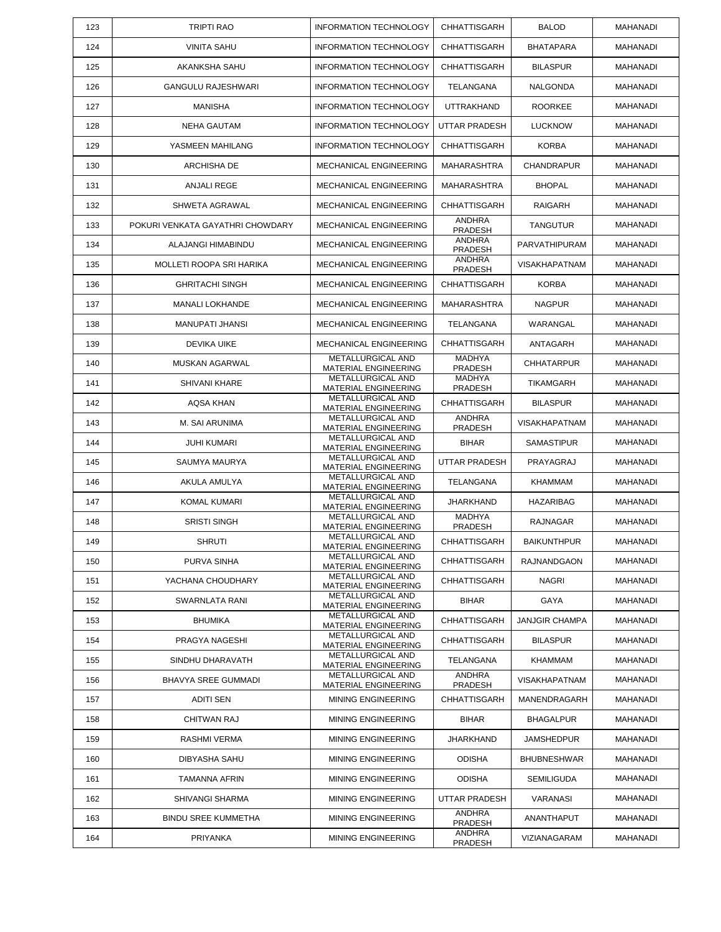| 123 | <b>TRIPTI RAO</b>                | <b>INFORMATION TECHNOLOGY</b>                    | CHHATTISGARH                    | <b>BALOD</b>          | MAHANADI        |
|-----|----------------------------------|--------------------------------------------------|---------------------------------|-----------------------|-----------------|
| 124 | <b>VINITA SAHU</b>               | <b>INFORMATION TECHNOLOGY</b>                    | <b>CHHATTISGARH</b>             | <b>BHATAPARA</b>      | MAHANADI        |
| 125 | AKANKSHA SAHU                    | <b>INFORMATION TECHNOLOGY</b>                    | CHHATTISGARH                    | <b>BILASPUR</b>       | MAHANADI        |
| 126 | <b>GANGULU RAJESHWARI</b>        | <b>INFORMATION TECHNOLOGY</b>                    | TELANGANA                       | NALGONDA              | MAHANADI        |
| 127 | <b>MANISHA</b>                   | <b>INFORMATION TECHNOLOGY</b>                    | <b>UTTRAKHAND</b>               | <b>ROORKEE</b>        | MAHANADI        |
| 128 | <b>NEHA GAUTAM</b>               | <b>INFORMATION TECHNOLOGY</b>                    | UTTAR PRADESH                   | <b>LUCKNOW</b>        | MAHANADI        |
| 129 | YASMEEN MAHILANG                 | <b>INFORMATION TECHNOLOGY</b>                    | <b>CHHATTISGARH</b>             | <b>KORBA</b>          | MAHANADI        |
| 130 | ARCHISHA DE                      | MECHANICAL ENGINEERING                           | <b>MAHARASHTRA</b>              | <b>CHANDRAPUR</b>     | MAHANADI        |
| 131 | ANJALI REGE                      | MECHANICAL ENGINEERING                           | <b>MAHARASHTRA</b>              | <b>BHOPAL</b>         | MAHANADI        |
| 132 | SHWETA AGRAWAL                   | MECHANICAL ENGINEERING                           | <b>CHHATTISGARH</b>             | <b>RAIGARH</b>        | MAHANADI        |
| 133 | POKURI VENKATA GAYATHRI CHOWDARY | MECHANICAL ENGINEERING                           | <b>ANDHRA</b><br>PRADESH        | <b>TANGUTUR</b>       | MAHANADI        |
| 134 | ALAJANGI HIMABINDU               | MECHANICAL ENGINEERING                           | <b>ANDHRA</b><br>PRADESH        | PARVATHIPURAM         | MAHANADI        |
| 135 | MOLLETI ROOPA SRI HARIKA         | MECHANICAL ENGINEERING                           | <b>ANDHRA</b><br>PRADESH        | <b>VISAKHAPATNAM</b>  | MAHANADI        |
| 136 | <b>GHRITACHI SINGH</b>           | MECHANICAL ENGINEERING                           | CHHATTISGARH                    | <b>KORBA</b>          | <b>MAHANADI</b> |
| 137 | <b>MANALI LOKHANDE</b>           | MECHANICAL ENGINEERING                           | <b>MAHARASHTRA</b>              | <b>NAGPUR</b>         | MAHANADI        |
| 138 | <b>MANUPATI JHANSI</b>           | MECHANICAL ENGINEERING                           | TELANGANA                       | WARANGAL              | MAHANADI        |
| 139 | DEVIKA UIKE                      | MECHANICAL ENGINEERING                           | <b>CHHATTISGARH</b>             | ANTAGARH              | MAHANADI        |
| 140 | MUSKAN AGARWAL                   | <b>METALLURGICAL AND</b><br>MATERIAL ENGINEERING | <b>MADHYA</b><br>PRADESH        | CHHATARPUR            | MAHANADI        |
| 141 | SHIVANI KHARE                    | <b>METALLURGICAL AND</b><br>MATERIAL ENGINEERING | <b>MADHYA</b><br>PRADESH        | <b>TIKAMGARH</b>      | MAHANADI        |
| 142 | <b>AQSA KHAN</b>                 | METALLURGICAL AND<br>MATERIAL ENGINEERING        | CHHATTISGARH                    | <b>BILASPUR</b>       | MAHANADI        |
| 143 | M. SAI ARUNIMA                   | METALLURGICAL AND<br>MATERIAL ENGINEERING        | <b>ANDHRA</b><br><b>PRADESH</b> | <b>VISAKHAPATNAM</b>  | MAHANADI        |
| 144 | <b>JUHI KUMARI</b>               | METALLURGICAL AND<br>MATERIAL ENGINEERING        | <b>BIHAR</b>                    | <b>SAMASTIPUR</b>     | MAHANADI        |
| 145 | SAUMYA MAURYA                    | METALLURGICAL AND<br>MATERIAL ENGINEERING        | UTTAR PRADESH                   | PRAYAGRAJ             | MAHANADI        |
| 146 | AKULA AMULYA                     | METALLURGICAL AND<br>MATERIAL ENGINEERING        | TELANGANA                       | <b>KHAMMAM</b>        | MAHANADI        |
| 147 | <b>KOMAL KUMARI</b>              | METALLURGICAL AND<br>MATERIAL ENGINEERING        | JHARKHAND                       | <b>HAZARIBAG</b>      | MAHANADI        |
| 148 | <b>SRISTI SINGH</b>              | METALLURGICAL AND<br>MATERIAL ENGINEERING        | <b>MADHYA</b><br><b>PRADESH</b> | RAJNAGAR              | MAHANADI        |
| 149 | <b>SHRUTI</b>                    | METALLURGICAL AND<br>MATERIAL ENGINEERING        | <b>CHHATTISGARH</b>             | <b>BAIKUNTHPUR</b>    | <b>MAHANADI</b> |
| 150 | PURVA SINHA                      | METALLURGICAL AND<br><b>MATERIAL ENGINEERING</b> | CHHATTISGARH                    | <b>RAJNANDGAON</b>    | MAHANADI        |
| 151 | YACHANA CHOUDHARY                | <b>METALLURGICAL AND</b><br>MATERIAL ENGINEERING | CHHATTISGARH                    | <b>NAGRI</b>          | <b>MAHANADI</b> |
| 152 | SWARNLATA RANI                   | METALLURGICAL AND<br>MATERIAL ENGINEERING        | <b>BIHAR</b>                    | GAYA                  | MAHANADI        |
| 153 | <b>BHUMIKA</b>                   | METALLURGICAL AND<br>MATERIAL ENGINEERING        | CHHATTISGARH                    | <b>JANJGIR CHAMPA</b> | <b>MAHANADI</b> |
| 154 | PRAGYA NAGESHI                   | METALLURGICAL AND<br>MATERIAL ENGINEERING        | CHHATTISGARH                    | <b>BILASPUR</b>       | <b>MAHANADI</b> |
| 155 | SINDHU DHARAVATH                 | <b>METALLURGICAL AND</b><br>MATERIAL ENGINEERING | <b>TELANGANA</b>                | <b>KHAMMAM</b>        | MAHANADI        |
| 156 | BHAVYA SREE GUMMADI              | <b>METALLURGICAL AND</b><br>MATERIAL ENGINEERING | <b>ANDHRA</b><br>PRADESH        | <b>VISAKHAPATNAM</b>  | <b>MAHANADI</b> |
| 157 | ADITI SEN                        | <b>MINING ENGINEERING</b>                        | CHHATTISGARH                    | MANENDRAGARH          | MAHANADI        |
| 158 | CHITWAN RAJ                      | <b>MINING ENGINEERING</b>                        | <b>BIHAR</b>                    | <b>BHAGALPUR</b>      | MAHANADI        |
| 159 | RASHMI VERMA                     | <b>MINING ENGINEERING</b>                        | <b>JHARKHAND</b>                | JAMSHEDPUR            | MAHANADI        |
| 160 | <b>DIBYASHA SAHU</b>             | <b>MINING ENGINEERING</b>                        | <b>ODISHA</b>                   | <b>BHUBNESHWAR</b>    | MAHANADI        |
| 161 | TAMANNA AFRIN                    | <b>MINING ENGINEERING</b>                        | <b>ODISHA</b>                   | <b>SEMILIGUDA</b>     | MAHANADI        |
| 162 | SHIVANGI SHARMA                  | <b>MINING ENGINEERING</b>                        | UTTAR PRADESH                   | VARANASI              | MAHANADI        |
| 163 | <b>BINDU SREE KUMMETHA</b>       | <b>MINING ENGINEERING</b>                        | <b>ANDHRA</b><br>PRADESH        | ANANTHAPUT            | MAHANADI        |
| 164 | PRIYANKA                         | MINING ENGINEERING                               | ANDHRA<br>PRADESH               | VIZIANAGARAM          | MAHANADI        |